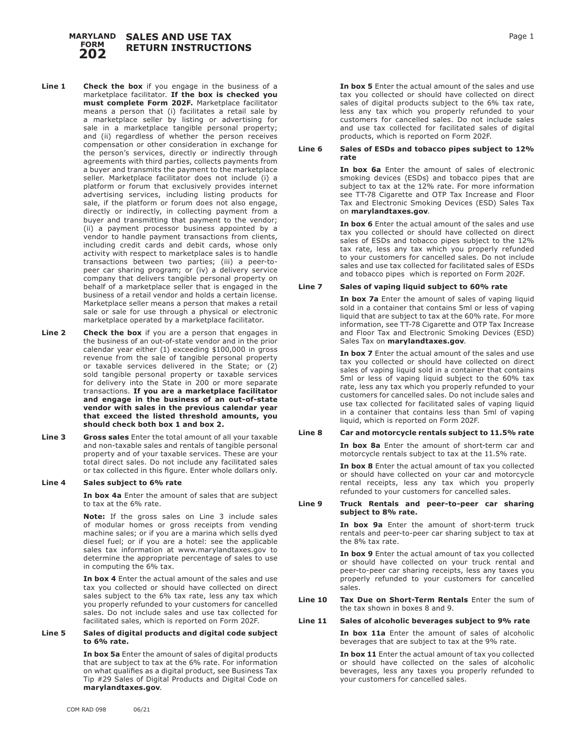#### **SALES AND USE TAX RETURN INSTRUCTIONS MARYLAND FORM 202**

- **Line 1 Check the box** if you engage in the business of a marketplace facilitator. **If the box is checked you must complete Form 202F.** Marketplace facilitator means a person that (i) facilitates a retail sale by a marketplace seller by listing or advertising for sale in a marketplace tangible personal property; and (ii) regardless of whether the person receives compensation or other consideration in exchange for the person's services, directly or indirectly through agreements with third parties, collects payments from a buyer and transmits the payment to the marketplace seller. Marketplace facilitator does not include (i) a platform or forum that exclusively provides internet advertising services, including listing products for sale, if the platform or forum does not also engage, directly or indirectly, in collecting payment from a buyer and transmitting that payment to the vendor; (ii) a payment processor business appointed by a vendor to handle payment transactions from clients, including credit cards and debit cards, whose only activity with respect to marketplace sales is to handle transactions between two parties; (iii) a peer-topeer car sharing program; or (iv) a delivery service company that delivers tangible personal property on behalf of a marketplace seller that is engaged in the business of a retail vendor and holds a certain license. Marketplace seller means a person that makes a retail sale or sale for use through a physical or electronic marketplace operated by a marketplace facilitator.
- **Line 2** Check the box if you are a person that engages in the business of an out-of-state vendor and in the prior calendar year either (1) exceeding \$100,000 in gross revenue from the sale of tangible personal property or taxable services delivered in the State; or (2) sold tangible personal property or taxable services for delivery into the State in 200 or more separate transactions. **If you are a marketplace facilitator and engage in the business of an out-of-state vendor with sales in the previous calendar year that exceed the listed threshold amounts, you should check both box 1 and box 2.**
- **Line 3 Gross sales** Enter the total amount of all your taxable and non-taxable sales and rentals of tangible personal property and of your taxable services. These are your total direct sales. Do not include any facilitated sales or tax collected in this figure. Enter whole dollars only.

# **Line 4 Sales subject to 6% rate**

**In box 4a** Enter the amount of sales that are subject to tax at the 6% rate.

**Note:** If the gross sales on Line 3 include sales of modular homes or gross receipts from vending machine sales; or if you are a marina which sells dyed diesel fuel; or if you are a hotel: see the applicable sales tax information at www.marylandtaxes.gov to determine the appropriate percentage of sales to use in computing the 6% tax.

**In box 4** Enter the actual amount of the sales and use tax you collected or should have collected on direct sales subject to the 6% tax rate, less any tax which you properly refunded to your customers for cancelled sales. Do not include sales and use tax collected for facilitated sales, which is reported on Form 202F.

#### **Line 5 Sales of digital products and digital code subject to 6% rate.**

**In box 5a** Enter the amount of sales of digital products that are subject to tax at the 6% rate. For information on what qualifies as a digital product, see Business Tax Tip #29 Sales of Digital Products and Digital Code on **marylandtaxes.gov**.

**In box 5** Enter the actual amount of the sales and use tax you collected or should have collected on direct sales of digital products subject to the 6% tax rate, less any tax which you properly refunded to your customers for cancelled sales. Do not include sales and use tax collected for facilitated sales of digital products, which is reported on Form 202F.

#### **Line 6 Sales of ESDs and tobacco pipes subject to 12% rate**

**In box 6a** Enter the amount of sales of electronic smoking devices (ESDs) and tobacco pipes that are subject to tax at the 12% rate. For more information see TT-78 Cigarette and OTP Tax Increase and Floor Tax and Electronic Smoking Devices (ESD) Sales Tax on **marylandtaxes.gov**.

**In box 6** Enter the actual amount of the sales and use tax you collected or should have collected on direct sales of ESDs and tobacco pipes subject to the 12% tax rate, less any tax which you properly refunded to your customers for cancelled sales. Do not include sales and use tax collected for facilitated sales of ESDs and tobacco pipes which is reported on Form 202F.

# **Line 7 Sales of vaping liquid subject to 60% rate**

**In box 7a** Enter the amount of sales of vaping liquid sold in a container that contains 5ml or less of vaping liquid that are subject to tax at the 60% rate. For more information, see TT-78 Cigarette and OTP Tax Increase and Floor Tax and Electronic Smoking Devices (ESD) Sales Tax on **marylandtaxes.gov**.

**In box 7** Enter the actual amount of the sales and use tax you collected or should have collected on direct sales of vaping liquid sold in a container that contains 5ml or less of vaping liquid subject to the 60% tax rate, less any tax which you properly refunded to your customers for cancelled sales. Do not include sales and use tax collected for facilitated sales of vaping liquid in a container that contains less than 5ml of vaping liquid, which is reported on Form 202F.

# **Line 8 Car and motorcycle rentals subject to 11.5% rate**

**In box 8a** Enter the amount of short-term car and motorcycle rentals subject to tax at the 11.5% rate.

**In box 8** Enter the actual amount of tax you collected or should have collected on your car and motorcycle rental receipts, less any tax which you properly refunded to your customers for cancelled sales.

### **Line 9 Truck Rentals and peer-to-peer car sharing subject to 8% rate.**

**In box 9a** Enter the amount of short-term truck rentals and peer-to-peer car sharing subject to tax at the 8% tax rate.

**In box 9** Enter the actual amount of tax you collected or should have collected on your truck rental and peer-to-peer car sharing receipts, less any taxes you properly refunded to your customers for cancelled sales.

### **Line 10 Tax Due on Short-Term Rentals** Enter the sum of the tax shown in boxes 8 and 9.

# **Line 11 Sales of alcoholic beverages subject to 9% rate**

**In box 11a** Enter the amount of sales of alcoholic beverages that are subject to tax at the 9% rate.

**In box 11** Enter the actual amount of tax you collected or should have collected on the sales of alcoholic beverages, less any taxes you properly refunded to your customers for cancelled sales.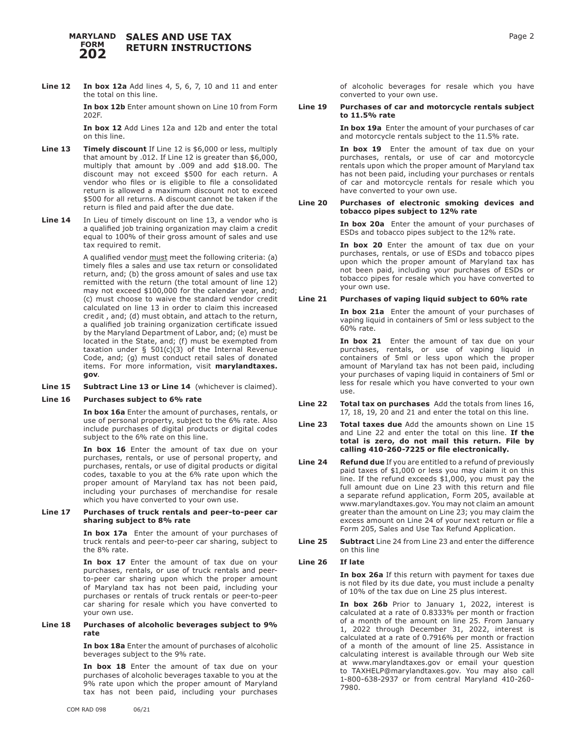#### **MARYLAND SALES AND USE TAX RETURN INSTRUCTIONS FORM 202**

**Line 12 In box 12a** Add lines 4, 5, 6, 7, 10 and 11 and enter the total on this line.

> **In box 12b** Enter amount shown on Line 10 from Form 202F.

**In box 12** Add Lines 12a and 12b and enter the total on this line.

- **Line 13 Timely discount** If Line 12 is \$6,000 or less, multiply that amount by .012. If Line 12 is greater than \$6,000, multiply that amount by .009 and add \$18.00. The discount may not exceed \$500 for each return. A vendor who files or is eligible to file a consolidated return is allowed a maximum discount not to exceed \$500 for all returns. A discount cannot be taken if the return is filed and paid after the due date.
- **Line 14** In Lieu of timely discount on line 13, a vendor who is a qualified job training organization may claim a credit equal to 100% of their gross amount of sales and use tax required to remit.

A qualified vendor must meet the following criteria: (a) timely files a sales and use tax return or consolidated return, and; (b) the gross amount of sales and use tax remitted with the return (the total amount of line 12) may not exceed \$100,000 for the calendar year, and; (c) must choose to waive the standard vendor credit calculated on line 13 in order to claim this increased credit , and; (d) must obtain, and attach to the return, a qualified job training organization certificate issued by the Maryland Department of Labor, and; (e) must be located in the State, and; (f) must be exempted from taxation under  $\S$  501(c)(3) of the Internal Revenue Code, and; (g) must conduct retail sales of donated items. For more information, visit **marylandtaxes. gov**.

**Line 15 Subtract Line 13 or Line 14** (whichever is claimed).

# **Line 16 Purchases subject to 6% rate**

**In box 16a** Enter the amount of purchases, rentals, or use of personal property, subject to the 6% rate. Also include purchases of digital products or digital codes subject to the 6% rate on this line.

**In box 16** Enter the amount of tax due on your purchases, rentals, or use of personal property, and purchases, rentals, or use of digital products or digital codes, taxable to you at the 6% rate upon which the proper amount of Maryland tax has not been paid, including your purchases of merchandise for resale which you have converted to your own use.

# **Line 17 Purchases of truck rentals and peer-to-peer car sharing subject to 8% rate**

**In box 17a** Enter the amount of your purchases of truck rentals and peer-to-peer car sharing, subject to the 8% rate.

In box 17 Enter the amount of tax due on your purchases, rentals, or use of truck rentals and peerto-peer car sharing upon which the proper amount of Maryland tax has not been paid, including your purchases or rentals of truck rentals or peer-to-peer car sharing for resale which you have converted to your own use.

#### **Line 18 Purchases of alcoholic beverages subject to 9% rate**

**In box 18a** Enter the amount of purchases of alcoholic beverages subject to the 9% rate.

In box 18 Enter the amount of tax due on your purchases of alcoholic beverages taxable to you at the 9% rate upon which the proper amount of Maryland tax has not been paid, including your purchases

### **Line 19 Purchases of car and motorcycle rentals subject to 11.5% rate**

**In box 19a** Enter the amount of your purchases of car and motorcycle rentals subject to the 11.5% rate.

**In box 19** Enter the amount of tax due on your purchases, rentals, or use of car and motorcycle rentals upon which the proper amount of Maryland tax has not been paid, including your purchases or rentals of car and motorcycle rentals for resale which you have converted to your own use.

# **Line 20 Purchases of electronic smoking devices and tobacco pipes subject to 12% rate**

**In box 20a** Enter the amount of your purchases of ESDs and tobacco pipes subject to the 12% rate.

In box 20 Enter the amount of tax due on your purchases, rentals, or use of ESDs and tobacco pipes upon which the proper amount of Maryland tax has not been paid, including your purchases of ESDs or tobacco pipes for resale which you have converted to your own use.

# **Line 21 Purchases of vaping liquid subject to 60% rate**

**In box 21a** Enter the amount of your purchases of vaping liquid in containers of 5ml or less subject to the 60% rate.

**In box 21** Enter the amount of tax due on your purchases, rentals, or use of vaping liquid in containers of 5ml or less upon which the proper amount of Maryland tax has not been paid, including your purchases of vaping liquid in containers of 5ml or less for resale which you have converted to your own use.

- **Line 22 Total tax on purchases** Add the totals from lines 16, 17, 18, 19, 20 and 21 and enter the total on this line.
- **Line 23 Total taxes due** Add the amounts shown on Line 15 and Line 22 and enter the total on this line. **If the total is zero, do not mail this return. File by calling 410-260-7225 or file electronically.**
- **Line 24 Refund due** If you are entitled to a refund of previously paid taxes of \$1,000 or less you may claim it on this line. If the refund exceeds \$1,000, you must pay the full amount due on Line 23 with this return and file a separate refund application, Form 205, available at www.marylandtaxes.gov. You may not claim an amount greater than the amount on Line 23; you may claim the excess amount on Line 24 of your next return or file a Form 205, Sales and Use Tax Refund Application.
- **Line 25 Subtract** Line 24 from Line 23 and enter the difference on this line

# **Line 26 If late**

**In box 26a** If this return with payment for taxes due is not filed by its due date, you must include a penalty of 10% of the tax due on Line 25 plus interest.

**In box 26b** Prior to January 1, 2022, interest is calculated at a rate of 0.8333% per month or fraction of a month of the amount on line 25. From January 1, 2022 through December 31, 2022, interest is calculated at a rate of 0.7916% per month or fraction of a month of the amount of line 25. Assistance in calculating interest is available through our Web site at www.marylandtaxes.gov or email your question to TAXHELP@marylandtaxes.gov. You may also call 1-800-638-2937 or from central Maryland 410-260- 7980.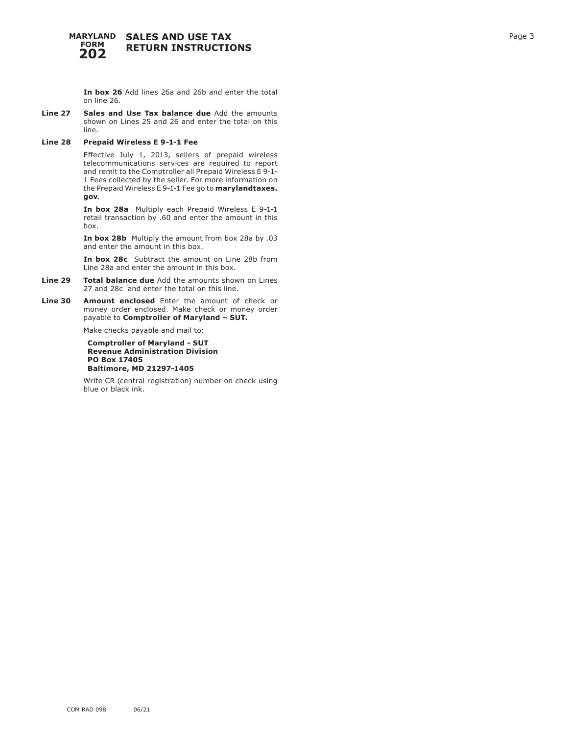#### **SALES AND USE TAX RETURN INSTRUCTIONS MARYLAND FORM 202**

**In box 26** Add lines 26a and 26b and enter the total on line 26.

**Line 27 Sales and Use Tax balance due** Add the amounts shown on Lines 25 and 26 and enter the total on this line.

# **Line 28 Prepaid Wireless E 9-1-1 Fee**

Effective July 1, 2013, sellers of prepaid wireless telecommunications services are required to report and remit to the Comptroller all Prepaid Wireless E 9-1- 1 Fees collected by the seller. For more information on the Prepaid Wireless E 9-1-1 Fee go to **marylandtaxes. gov** .

**In box 28a** Multiply each Prepaid Wireless E 9-1-1 retail transaction by .60 and enter the amount in this box.

**In box 28b** Multiply the amount from box 28a by .03 and enter the amount in this box.

**In box 28c** Subtract the amount on Line 28b from Line 28a and enter the amount in this box.

- **Line 29 Total balance due** Add the amounts shown on Lines 27 and 28c and enter the total on this line.
- **Line 30 Amount enclosed** Enter the amount of check or money order enclosed. Make check or money order payable to **Comptroller of Maryland – SUT.**

Make checks payable and mail to:

**Comptroller of Maryland - SUT Revenue Administration Division PO Box 17405 Baltimore, MD 21297-1405**

Write CR (central registration) number on check using blue or black ink.